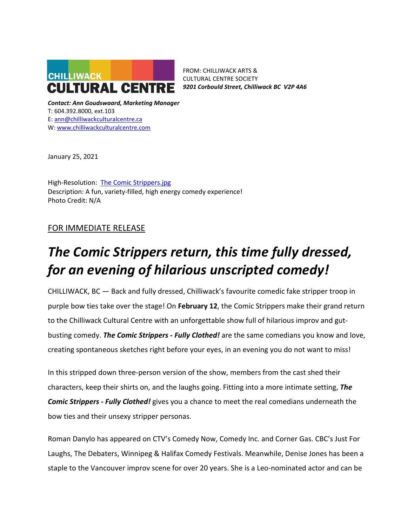

FROM: CHILLIWACK ARTS & CULTURAL CENTRE SOCIETY *9201 Corbould Street, Chilliwack BC V2P 4A6*

*Contact: Ann Goudswaard, Marketing Manager* T: 604.392.8000, ext.103 E: [ann@chilliwackculturalcentre.ca](mailto:ann@chilliwackculturalcentre.ca) W: [www.chilliwackculturalcentre.com](http://www.chilliwackculturalcentre.com/)

January 25, 2021

High-Resolution: [The Comic Strippers.jpg](https://www.chilliwackculturalcentre.ca/wordpress/wp-content/uploads/2022/01/CDR.jpg) Description: A fun, variety-filled, high energy comedy experience! Photo Credit: N/A

# FOR IMMEDIATE RELEASE

# *The Comic Strippers return, this time fully dressed, for an evening of hilarious unscripted comedy!*

CHILLIWACK, BC — Back and fully dressed, Chilliwack's favourite comedic fake stripper troop in purple bow ties take over the stage! On **February 12**, the Comic Strippers make their grand return to the Chilliwack Cultural Centre with an unforgettable show full of hilarious improv and gutbusting comedy. *The Comic Strippers - Fully Clothed!* are the same comedians you know and love, creating spontaneous sketches right before your eyes, in an evening you do not want to miss!

In this stripped down three-person version of the show, members from the cast shed their characters, keep their shirts on, and the laughs going. Fitting into a more intimate setting, *The Comic Strippers - Fully Clothed!* gives you a chance to meet the real comedians underneath the bow ties and their unsexy stripper personas.

Roman Danylo has appeared on CTV's Comedy Now, Comedy Inc. and Corner Gas. CBC's Just For Laughs, The Debaters, Winnipeg & Halifax Comedy Festivals. Meanwhile, Denise Jones has been a staple to the Vancouver improv scene for over 20 years. She is a Leo-nominated actor and can be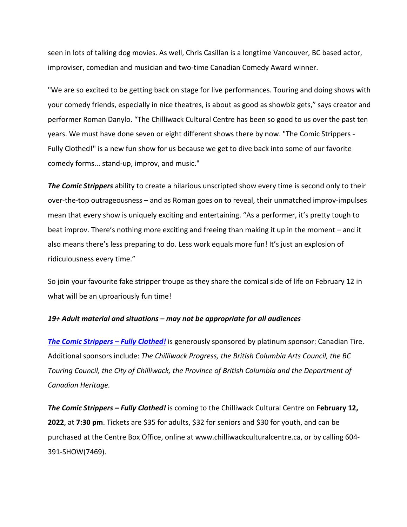seen in lots of talking dog movies. As well, Chris Casillan is a longtime Vancouver, BC based actor, improviser, comedian and musician and two-time Canadian Comedy Award winner.

"We are so excited to be getting back on stage for live performances. Touring and doing shows with your comedy friends, especially in nice theatres, is about as good as showbiz gets," says creator and performer Roman Danylo. "The Chilliwack Cultural Centre has been so good to us over the past ten years. We must have done seven or eight different shows there by now. "The Comic Strippers - Fully Clothed!" is a new fun show for us because we get to dive back into some of our favorite comedy forms... stand-up, improv, and music."

*The Comic Strippers* ability to create a hilarious unscripted show every time is second only to their over-the-top outrageousness – and as Roman goes on to reveal, their unmatched improv-impulses mean that every show is uniquely exciting and entertaining. "As a performer, it's pretty tough to beat improv. There's nothing more exciting and freeing than making it up in the moment – and it also means there's less preparing to do. Less work equals more fun! It's just an explosion of ridiculousness every time."

So join your favourite fake stripper troupe as they share the comical side of life on February 12 in what will be an uproariously fun time!

## *19+ Adult material and situations – may not be appropriate for all audiences*

*[The Comic Strippers –](https://www.chilliwackculturalcentre.ca/event/the-comic-strippers-fully-clothed/#.YengEP7MIdU) Fully Clothed!* is generously sponsored by platinum sponsor: Canadian Tire. Additional sponsors include: *The Chilliwack Progress, the British Columbia Arts Council, the BC Touring Council, the City of Chilliwack, the Province of British Columbia and the Department of Canadian Heritage.*

*The Comic Strippers – Fully Clothed!* is coming to the Chilliwack Cultural Centre on **February 12, 2022**, at **7:30 pm**. Tickets are \$35 for adults, \$32 for seniors and \$30 for youth, and can be purchased at the Centre Box Office, online at www.chilliwackculturalcentre.ca, or by calling 604- 391-SHOW(7469).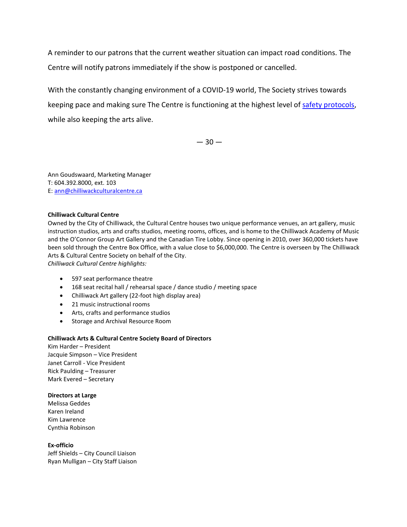A reminder to our patrons that the current weather situation can impact road conditions. The Centre will notify patrons immediately if the show is postponed or cancelled.

With the constantly changing environment of a COVID-19 world, The Society strives towards keeping pace and making sure The Centre is functioning at the highest level of [safety protocols,](https://www.chilliwackculturalcentre.ca/extras/safety-protocols-stage-3/#.YS6deveSmUk) while also keeping the arts alive.

 $-30-$ 

Ann Goudswaard, Marketing Manager T: 604.392.8000, ext. 103 E: [ann@chilliwackculturalcentre.ca](mailto:ann@chilliwackculturalcentre.ca)

#### **Chilliwack Cultural Centre**

Owned by the City of Chilliwack, the Cultural Centre houses two unique performance venues, an art gallery, music instruction studios, arts and crafts studios, meeting rooms, offices, and is home to the Chilliwack Academy of Music and the O'Connor Group Art Gallery and the Canadian Tire Lobby. Since opening in 2010, over 360,000 tickets have been sold through the Centre Box Office, with a value close to \$6,000,000. The Centre is overseen by The Chilliwack Arts & Cultural Centre Society on behalf of the City.

*Chilliwack Cultural Centre highlights:*

- 597 seat performance theatre
- 168 seat recital hall / rehearsal space / dance studio / meeting space
- Chilliwack Art gallery (22-foot high display area)
- 21 music instructional rooms
- Arts, crafts and performance studios
- Storage and Archival Resource Room

#### **Chilliwack Arts & Cultural Centre Society Board of Directors**

Kim Harder – President Jacquie Simpson – Vice President Janet Carroll - Vice President Rick Paulding – Treasurer Mark Evered – Secretary

## **Directors at Large**

Melissa Geddes Karen Ireland Kim Lawrence Cynthia Robinson

**Ex-officio** Jeff Shields – City Council Liaison

Ryan Mulligan – City Staff Liaison